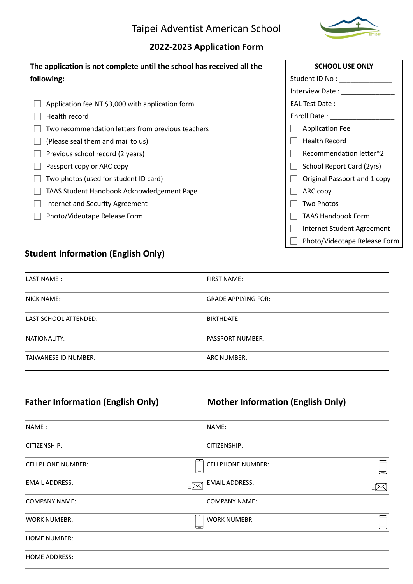## Taipei Adventist American School

#### **2022-2023 Application Form**

| The application is not complete until the school has received all the |
|-----------------------------------------------------------------------|
| following:                                                            |
|                                                                       |

- $\Box$  Application fee NT \$3,000 with application form
- $\Box$  Health record
- $\Box$  Two recommendation letters from previous teachers
- $\Box$  (Please seal them and mail to us)
- $\Box$  Previous school record (2 years)
- □ Passport copy or ARC copy
- $\Box$  Two photos (used for student ID card)
- □ TAAS Student Handbook Acknowledgement Page
- □ Internet and Security Agreement
- □ Photo/Videotape Release Form

# **SCHOOL USE ONLY** Student ID No : \_\_\_\_\_\_\_\_\_\_\_\_\_\_\_ Interview Date : \_\_\_\_\_\_\_\_\_\_\_\_\_\_\_\_\_\_ EAL Test Date : \_\_\_\_\_\_\_\_\_\_\_\_\_\_\_ Enroll Date : \_\_\_\_\_\_\_\_\_\_\_\_\_\_\_\_\_ □ Application Fee  $\Box$  Health Record  $\Box$  Recommendation letter\*2  $\Box$  School Report Card (2yrs)  $\Box$  Original Passport and 1 copy  $\Box$  ARC copy  $\Box$  Two Photos □ TAAS Handbook Form □ Internet Student Agreement □ Photo/Videotape Release Form

## **Student Information (English Only)**

| LAST NAME:                  | <b>FIRST NAME:</b>         |
|-----------------------------|----------------------------|
| <b>INICK NAME:</b>          | <b>GRADE APPLYING FOR:</b> |
| LAST SCHOOL ATTENDED:       | BIRTHDATE:                 |
| INATIONALITY:               | <b>PASSPORT NUMBER:</b>    |
| <b>TAIWANESE ID NUMBER:</b> | ARC NUMBER:                |

## Father Information (English Only) Mother Information (English Only)

| INAME:                                    | NAME:                                         |
|-------------------------------------------|-----------------------------------------------|
| <b>CITIZENSHIP:</b>                       | CITIZENSHIP:                                  |
| <b>CELLPHONE NUMBER:</b><br>≔             | $\equiv$<br><b>CELLPHONE NUMBER:</b><br>त्त्व |
| <b>EMAIL ADDRESS:</b><br>$\bar{E}$ $\geq$ | EMAIL ADDRESS:                                |
| COMPANY NAME:                             | COMPANY NAME:                                 |
| <b>WORK NUMEBR:</b><br>ر—ا                | WORK NUMEBR:<br>↽                             |
| HOME NUMBER:                              |                                               |
| HOME ADDRESS:                             |                                               |